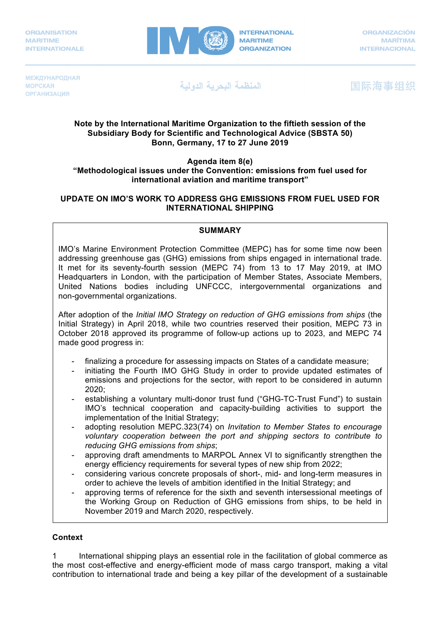

**МЕЖДУНАРОДНАЯ МОРСКАЯ ОРГАНИЗАЦИЯ** 

المنظمة البحرية الدولية

国际海事组织

### **Note by the International Maritime Organization to the fiftieth session of the Subsidiary Body for Scientific and Technological Advice (SBSTA 50) Bonn, Germany, 17 to 27 June 2019**

#### **Agenda item 8(e) "Methodological issues under the Convention: emissions from fuel used for international aviation and maritime transport"**

## **UPDATE ON IMO'S WORK TO ADDRESS GHG EMISSIONS FROM FUEL USED FOR INTERNATIONAL SHIPPING**

### **SUMMARY**

IMO's Marine Environment Protection Committee (MEPC) has for some time now been addressing greenhouse gas (GHG) emissions from ships engaged in international trade. It met for its seventy-fourth session (MEPC 74) from 13 to 17 May 2019, at IMO Headquarters in London, with the participation of Member States, Associate Members, United Nations bodies including UNFCCC, intergovernmental organizations and non-governmental organizations.

After adoption of the *Initial IMO Strategy on reduction of GHG emissions from ships* (the Initial Strategy) in April 2018, while two countries reserved their position, MEPC 73 in October 2018 approved its programme of follow-up actions up to 2023, and MEPC 74 made good progress in:

- finalizing a procedure for assessing impacts on States of a candidate measure;
- initiating the Fourth IMO GHG Study in order to provide updated estimates of emissions and projections for the sector, with report to be considered in autumn 2020;
- establishing a voluntary multi-donor trust fund ("GHG-TC-Trust Fund") to sustain IMO's technical cooperation and capacity-building activities to support the implementation of the Initial Strategy;
- adopting resolution MEPC.323(74) on *Invitation to Member States to encourage voluntary cooperation between the port and shipping sectors to contribute to reducing GHG emissions from ships*;
- approving draft amendments to MARPOL Annex VI to significantly strengthen the energy efficiency requirements for several types of new ship from 2022;
- considering various concrete proposals of short-, mid- and long-term measures in order to achieve the levels of ambition identified in the Initial Strategy; and
- approving terms of reference for the sixth and seventh intersessional meetings of the Working Group on Reduction of GHG emissions from ships, to be held in November 2019 and March 2020, respectively.

# **Context**

1 International shipping plays an essential role in the facilitation of global commerce as the most cost-effective and energy-efficient mode of mass cargo transport, making a vital contribution to international trade and being a key pillar of the development of a sustainable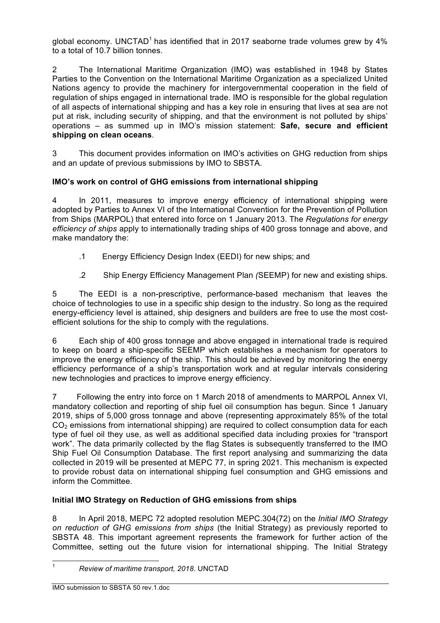alobal economy. UNCTAD<sup>1</sup> has identified that in 2017 seaborne trade volumes grew by  $4\%$ to a total of 10.7 billion tonnes.

2 The International Maritime Organization (IMO) was established in 1948 by States Parties to the Convention on the International Maritime Organization as a specialized United Nations agency to provide the machinery for intergovernmental cooperation in the field of regulation of ships engaged in international trade. IMO is responsible for the global regulation of all aspects of international shipping and has a key role in ensuring that lives at sea are not put at risk, including security of shipping, and that the environment is not polluted by ships' operations – as summed up in IMO's mission statement: **Safe, secure and efficient shipping on clean oceans**.

3 This document provides information on IMO's activities on GHG reduction from ships and an update of previous submissions by IMO to SBSTA.

# **IMO's work on control of GHG emissions from international shipping**

4 In 2011, measures to improve energy efficiency of international shipping were adopted by Parties to Annex VI of the International Convention for the Prevention of Pollution from Ships (MARPOL) that entered into force on 1 January 2013. The *Regulations for energy efficiency of ships* apply to internationally trading ships of 400 gross tonnage and above, and make mandatory the:

- .1 Energy Efficiency Design Index (EEDI) for new ships; and
- .2 Ship Energy Efficiency Management Plan *(*SEEMP) for new and existing ships.

5 The EEDI is a non-prescriptive, performance-based mechanism that leaves the choice of technologies to use in a specific ship design to the industry. So long as the required energy-efficiency level is attained, ship designers and builders are free to use the most costefficient solutions for the ship to comply with the regulations.

6 Each ship of 400 gross tonnage and above engaged in international trade is required to keep on board a ship-specific SEEMP which establishes a mechanism for operators to improve the energy efficiency of the ship. This should be achieved by monitoring the energy efficiency performance of a ship's transportation work and at regular intervals considering new technologies and practices to improve energy efficiency.

7 Following the entry into force on 1 March 2018 of amendments to MARPOL Annex VI, mandatory collection and reporting of ship fuel oil consumption has begun. Since 1 January 2019, ships of 5,000 gross tonnage and above (representing approximately 85% of the total CO<sub>2</sub> emissions from international shipping) are required to collect consumption data for each type of fuel oil they use, as well as additional specified data including proxies for "transport work". The data primarily collected by the flag States is subsequently transferred to the IMO Ship Fuel Oil Consumption Database. The first report analysing and summarizing the data collected in 2019 will be presented at MEPC 77, in spring 2021. This mechanism is expected to provide robust data on international shipping fuel consumption and GHG emissions and inform the Committee.

# **Initial IMO Strategy on Reduction of GHG emissions from ships**

8 In April 2018, MEPC 72 adopted resolution MEPC.304(72) on the *Initial IMO Strategy on reduction of GHG emissions from ships* (the Initial Strategy) as previously reported to SBSTA 48. This important agreement represents the framework for further action of the Committee, setting out the future vision for international shipping. The Initial Strategy

 <sup>1</sup> *Review of maritime transport, 2018*. UNCTAD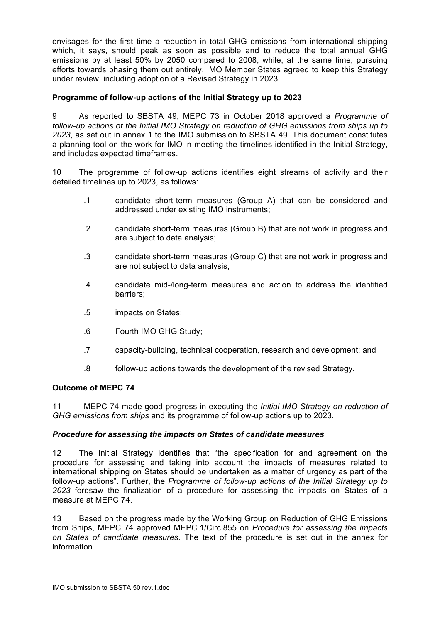envisages for the first time a reduction in total GHG emissions from international shipping which, it says, should peak as soon as possible and to reduce the total annual GHG emissions by at least 50% by 2050 compared to 2008, while, at the same time, pursuing efforts towards phasing them out entirely. IMO Member States agreed to keep this Strategy under review, including adoption of a Revised Strategy in 2023.

## **Programme of follow-up actions of the Initial Strategy up to 2023**

9 As reported to SBSTA 49, MEPC 73 in October 2018 approved a *Programme of follow-up actions of the Initial IMO Strategy on reduction of GHG emissions from ships up to 2023*, as set out in annex 1 to the IMO submission to SBSTA 49. This document constitutes a planning tool on the work for IMO in meeting the timelines identified in the Initial Strategy, and includes expected timeframes.

10 The programme of follow-up actions identifies eight streams of activity and their detailed timelines up to 2023, as follows:

- .1 candidate short-term measures (Group A) that can be considered and addressed under existing IMO instruments;
- .2 candidate short-term measures (Group B) that are not work in progress and are subject to data analysis;
- .3 candidate short-term measures (Group C) that are not work in progress and are not subject to data analysis;
- .4 candidate mid-/long-term measures and action to address the identified barriers;
- .5 impacts on States;
- .6 Fourth IMO GHG Study;
- .7 capacity-building, technical cooperation, research and development; and
- .8 follow-up actions towards the development of the revised Strategy.

## **Outcome of MEPC 74**

11 MEPC 74 made good progress in executing the *Initial IMO Strategy on reduction of GHG emissions from ships* and its programme of follow-up actions up to 2023.

## *Procedure for assessing the impacts on States of candidate measures*

12 The Initial Strategy identifies that "the specification for and agreement on the procedure for assessing and taking into account the impacts of measures related to international shipping on States should be undertaken as a matter of urgency as part of the follow-up actions". Further, the *Programme of follow-up actions of the Initial Strategy up to 2023* foresaw the finalization of a procedure for assessing the impacts on States of a measure at MEPC 74.

13 Based on the progress made by the Working Group on Reduction of GHG Emissions from Ships, MEPC 74 approved MEPC.1/Circ.855 on *Procedure for assessing the impacts on States of candidate measures*. The text of the procedure is set out in the annex for information.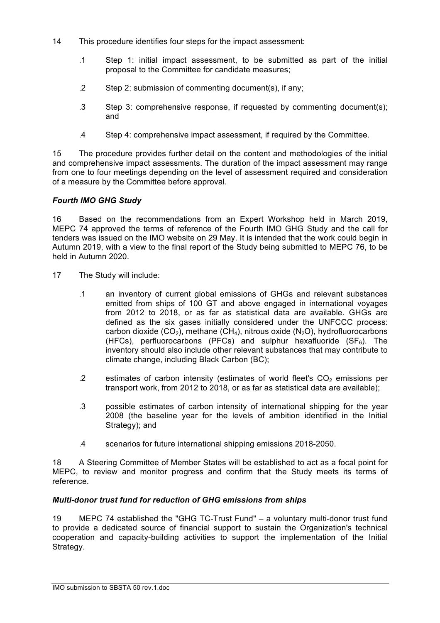- 14 This procedure identifies four steps for the impact assessment:
	- .1 Step 1: initial impact assessment, to be submitted as part of the initial proposal to the Committee for candidate measures;
	- .2 Step 2: submission of commenting document(s), if any;
	- .3 Step 3: comprehensive response, if requested by commenting document(s); and
	- .4 Step 4: comprehensive impact assessment, if required by the Committee.

15 The procedure provides further detail on the content and methodologies of the initial and comprehensive impact assessments. The duration of the impact assessment may range from one to four meetings depending on the level of assessment required and consideration of a measure by the Committee before approval.

## *Fourth IMO GHG Study*

16 Based on the recommendations from an Expert Workshop held in March 2019, MEPC 74 approved the terms of reference of the Fourth IMO GHG Study and the call for tenders was issued on the IMO website on 29 May. It is intended that the work could begin in Autumn 2019, with a view to the final report of the Study being submitted to MEPC 76, to be held in Autumn 2020.

- 17 The Study will include:
	- .1 an inventory of current global emissions of GHGs and relevant substances emitted from ships of 100 GT and above engaged in international voyages from 2012 to 2018, or as far as statistical data are available. GHGs are defined as the six gases initially considered under the UNFCCC process: carbon dioxide (CO<sub>2</sub>), methane (CH<sub>4</sub>), nitrous oxide (N<sub>2</sub>O), hydrofluorocarbons (HFCs), perfluorocarbons (PFCs) and sulphur hexafluoride (SF $_6$ ). The inventory should also include other relevant substances that may contribute to climate change, including Black Carbon (BC);
	- .2 estimates of carbon intensity (estimates of world fleet's  $CO<sub>2</sub>$  emissions per transport work, from 2012 to 2018, or as far as statistical data are available);
	- .3 possible estimates of carbon intensity of international shipping for the year 2008 (the baseline year for the levels of ambition identified in the Initial Strategy); and
	- .4 scenarios for future international shipping emissions 2018-2050.

18 A Steering Committee of Member States will be established to act as a focal point for MEPC, to review and monitor progress and confirm that the Study meets its terms of reference.

## *Multi-donor trust fund for reduction of GHG emissions from ships*

19 MEPC 74 established the "GHG TC-Trust Fund" – a voluntary multi-donor trust fund to provide a dedicated source of financial support to sustain the Organization's technical cooperation and capacity-building activities to support the implementation of the Initial Strategy.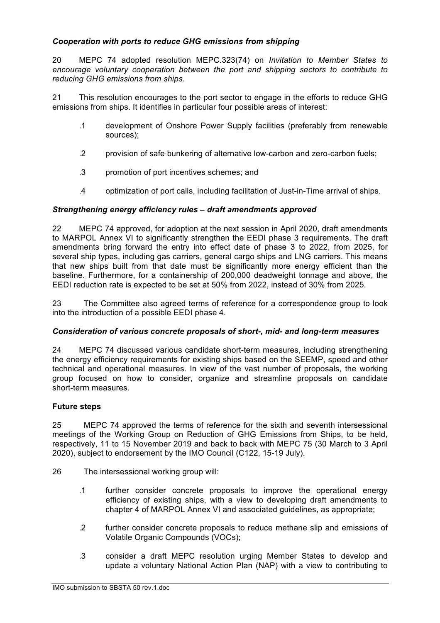## *Cooperation with ports to reduce GHG emissions from shipping*

20 MEPC 74 adopted resolution MEPC.323(74) on *Invitation to Member States to encourage voluntary cooperation between the port and shipping sectors to contribute to reducing GHG emissions from ships*.

21 This resolution encourages to the port sector to engage in the efforts to reduce GHG emissions from ships. It identifies in particular four possible areas of interest:

- .1 development of Onshore Power Supply facilities (preferably from renewable sources);
- .2 provision of safe bunkering of alternative low-carbon and zero-carbon fuels;
- .3 promotion of port incentives schemes; and
- .4 optimization of port calls, including facilitation of Just-in-Time arrival of ships.

## *Strengthening energy efficiency rules – draft amendments approved*

22 MEPC 74 approved, for adoption at the next session in April 2020, draft amendments to MARPOL Annex VI to significantly strengthen the EEDI phase 3 requirements. The draft amendments bring forward the entry into effect date of phase 3 to 2022, from 2025, for several ship types, including gas carriers, general cargo ships and LNG carriers. This means that new ships built from that date must be significantly more energy efficient than the baseline. Furthermore, for a containership of 200,000 deadweight tonnage and above, the EEDI reduction rate is expected to be set at 50% from 2022, instead of 30% from 2025.

23 The Committee also agreed terms of reference for a correspondence group to look into the introduction of a possible EEDI phase 4.

#### *Consideration of various concrete proposals of short-, mid- and long-term measures*

24 MEPC 74 discussed various candidate short-term measures, including strengthening the energy efficiency requirements for existing ships based on the SEEMP, speed and other technical and operational measures. In view of the vast number of proposals, the working group focused on how to consider, organize and streamline proposals on candidate short-term measures.

#### **Future steps**

25 MEPC 74 approved the terms of reference for the sixth and seventh intersessional meetings of the Working Group on Reduction of GHG Emissions from Ships, to be held, respectively, 11 to 15 November 2019 and back to back with MEPC 75 (30 March to 3 April 2020), subject to endorsement by the IMO Council (C122, 15-19 July).

26 The intersessional working group will:

- .1 further consider concrete proposals to improve the operational energy efficiency of existing ships, with a view to developing draft amendments to chapter 4 of MARPOL Annex VI and associated guidelines, as appropriate;
- .2 further consider concrete proposals to reduce methane slip and emissions of Volatile Organic Compounds (VOCs);
- .3 consider a draft MEPC resolution urging Member States to develop and update a voluntary National Action Plan (NAP) with a view to contributing to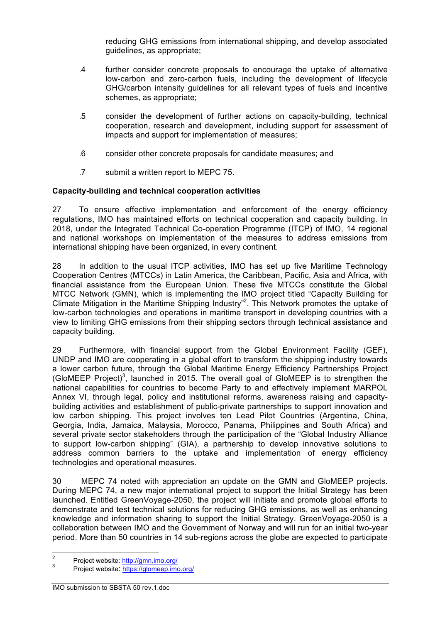reducing GHG emissions from international shipping, and develop associated guidelines, as appropriate;

- .4 further consider concrete proposals to encourage the uptake of alternative low-carbon and zero-carbon fuels, including the development of lifecycle GHG/carbon intensity guidelines for all relevant types of fuels and incentive schemes, as appropriate;
- .5 consider the development of further actions on capacity-building, technical cooperation, research and development, including support for assessment of impacts and support for implementation of measures;
- .6 consider other concrete proposals for candidate measures; and
- .7 submit a written report to MEPC 75.

## **Capacity-building and technical cooperation activities**

27 To ensure effective implementation and enforcement of the energy efficiency regulations, IMO has maintained efforts on technical cooperation and capacity building. In 2018, under the Integrated Technical Co-operation Programme (ITCP) of IMO, 14 regional and national workshops on implementation of the measures to address emissions from international shipping have been organized, in every continent.

28 In addition to the usual ITCP activities, IMO has set up five Maritime Technology Cooperation Centres (MTCCs) in Latin America, the Caribbean, Pacific, Asia and Africa, with financial assistance from the European Union. These five MTCCs constitute the Global MTCC Network (GMN), which is implementing the IMO project titled "Capacity Building for Climate Mitigation in the Maritime Shipping Industry"<sup>2</sup>. This Network promotes the uptake of low-carbon technologies and operations in maritime transport in developing countries with a view to limiting GHG emissions from their shipping sectors through technical assistance and capacity building.

29 Furthermore, with financial support from the Global Environment Facility (GEF), UNDP and IMO are cooperating in a global effort to transform the shipping industry towards a lower carbon future, through the Global Maritime Energy Efficiency Partnerships Project (GloMEEP Project)<sup>3</sup>, launched in 2015. The overall goal of GloMEEP is to strengthen the national capabilities for countries to become Party to and effectively implement MARPOL Annex VI, through legal, policy and institutional reforms, awareness raising and capacitybuilding activities and establishment of public-private partnerships to support innovation and low carbon shipping. This project involves ten Lead Pilot Countries (Argentina, China, Georgia, India, Jamaica, Malaysia, Morocco, Panama, Philippines and South Africa) and several private sector stakeholders through the participation of the "Global Industry Alliance to support low-carbon shipping" (GIA), a partnership to develop innovative solutions to address common barriers to the uptake and implementation of energy efficiency technologies and operational measures.

30 MEPC 74 noted with appreciation an update on the GMN and GloMEEP projects. During MEPC 74, a new major international project to support the Initial Strategy has been launched. Entitled GreenVoyage-2050, the project will initiate and promote global efforts to demonstrate and test technical solutions for reducing GHG emissions, as well as enhancing knowledge and information sharing to support the Initial Strategy. GreenVoyage-2050 is a collaboration between IMO and the Government of Norway and will run for an initial two-year period. More than 50 countries in 14 sub-regions across the globe are expected to participate

<sup>&</sup>lt;sup>2</sup> Project website:  $\frac{http://gmn.imo.org/}{http://glm.imo.org/}$ <br><sup>3</sup> Project website: https://glomeep.imo.org/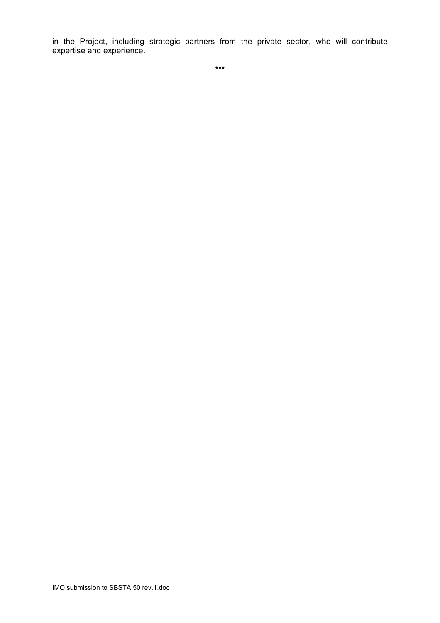in the Project, including strategic partners from the private sector, who will contribute expertise and experience.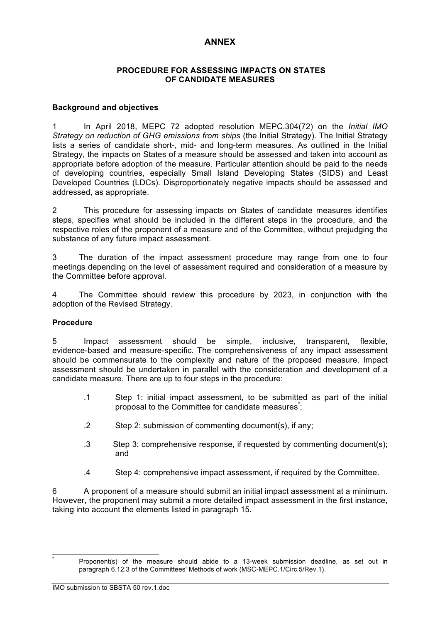# **ANNEX**

## **PROCEDURE FOR ASSESSING IMPACTS ON STATES OF CANDIDATE MEASURES**

## **Background and objectives**

1 In April 2018, MEPC 72 adopted resolution MEPC.304(72) on the *Initial IMO Strategy on reduction of GHG emissions from ships* (the Initial Strategy). The Initial Strategy lists a series of candidate short-, mid- and long-term measures. As outlined in the Initial Strategy, the impacts on States of a measure should be assessed and taken into account as appropriate before adoption of the measure. Particular attention should be paid to the needs of developing countries, especially Small Island Developing States (SIDS) and Least Developed Countries (LDCs). Disproportionately negative impacts should be assessed and addressed, as appropriate.

2 This procedure for assessing impacts on States of candidate measures identifies steps, specifies what should be included in the different steps in the procedure, and the respective roles of the proponent of a measure and of the Committee, without prejudging the substance of any future impact assessment.

3 The duration of the impact assessment procedure may range from one to four meetings depending on the level of assessment required and consideration of a measure by the Committee before approval.

4 The Committee should review this procedure by 2023, in conjunction with the adoption of the Revised Strategy.

#### **Procedure**

5 Impact assessment should be simple, inclusive, transparent, flexible, evidence-based and measure-specific. The comprehensiveness of any impact assessment should be commensurate to the complexity and nature of the proposed measure. Impact assessment should be undertaken in parallel with the consideration and development of a candidate measure. There are up to four steps in the procedure:

- .1 Step 1: initial impact assessment, to be submitted as part of the initial proposal to the Committee for candidate measures;
- .2 Step 2: submission of commenting document(s), if any;
- .3 Step 3: comprehensive response, if requested by commenting document(s); and
- .4 Step 4: comprehensive impact assessment, if required by the Committee.

6 A proponent of a measure should submit an initial impact assessment at a minimum. However, the proponent may submit a more detailed impact assessment in the first instance, taking into account the elements listed in paragraph 15.

Proponent(s) of the measure should abide to a 13-week submission deadline, as set out in paragraph 6.12.3 of the Committees' Methods of work (MSC-MEPC.1/Circ.5/Rev.1).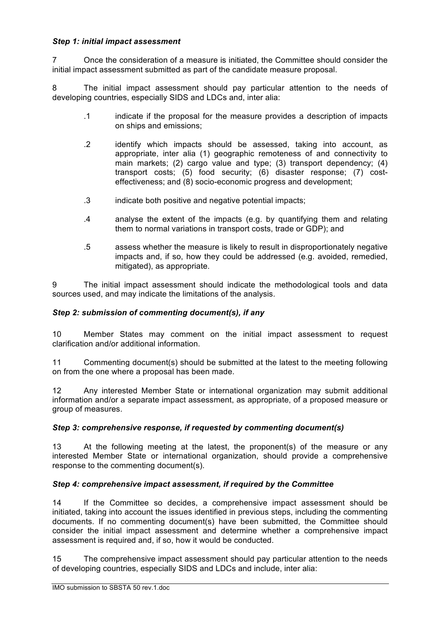# *Step 1: initial impact assessment*

7 Once the consideration of a measure is initiated, the Committee should consider the initial impact assessment submitted as part of the candidate measure proposal.

8 The initial impact assessment should pay particular attention to the needs of developing countries, especially SIDS and LDCs and, inter alia:

- .1 indicate if the proposal for the measure provides a description of impacts on ships and emissions;
- .2 identify which impacts should be assessed, taking into account, as appropriate, inter alia (1) geographic remoteness of and connectivity to main markets; (2) cargo value and type; (3) transport dependency; (4) transport costs; (5) food security; (6) disaster response; (7) costeffectiveness; and (8) socio-economic progress and development;
- .3 indicate both positive and negative potential impacts;
- .4 analyse the extent of the impacts (e.g. by quantifying them and relating them to normal variations in transport costs, trade or GDP); and
- .5 assess whether the measure is likely to result in disproportionately negative impacts and, if so, how they could be addressed (e.g. avoided, remedied, mitigated), as appropriate.

9 The initial impact assessment should indicate the methodological tools and data sources used, and may indicate the limitations of the analysis.

## *Step 2: submission of commenting document(s), if any*

10 Member States may comment on the initial impact assessment to request clarification and/or additional information.

11 Commenting document(s) should be submitted at the latest to the meeting following on from the one where a proposal has been made.

12 Any interested Member State or international organization may submit additional information and/or a separate impact assessment, as appropriate, of a proposed measure or group of measures.

## *Step 3: comprehensive response, if requested by commenting document(s)*

13 At the following meeting at the latest, the proponent(s) of the measure or any interested Member State or international organization, should provide a comprehensive response to the commenting document(s).

## *Step 4: comprehensive impact assessment, if required by the Committee*

14 If the Committee so decides, a comprehensive impact assessment should be initiated, taking into account the issues identified in previous steps, including the commenting documents. If no commenting document(s) have been submitted, the Committee should consider the initial impact assessment and determine whether a comprehensive impact assessment is required and, if so, how it would be conducted.

15 The comprehensive impact assessment should pay particular attention to the needs of developing countries, especially SIDS and LDCs and include, inter alia: